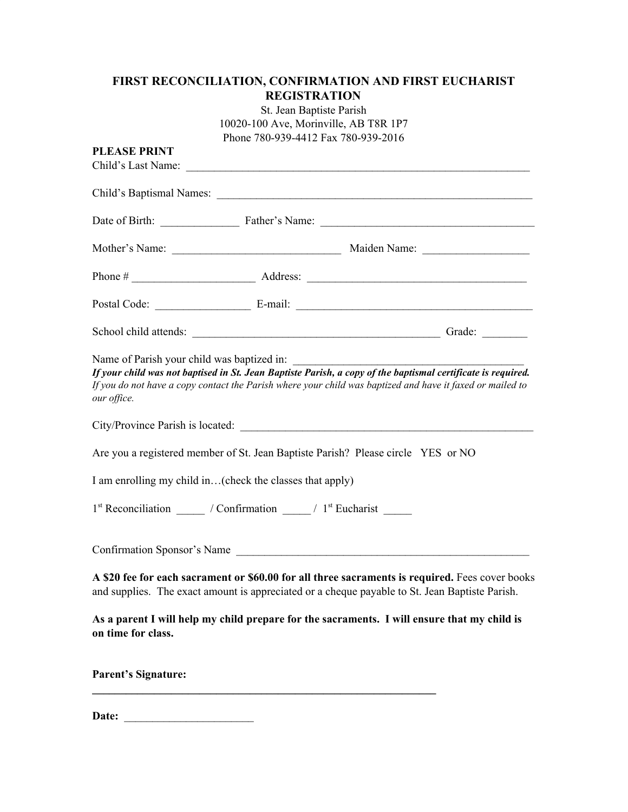## **FIRST RECONCILIATION, CONFIRMATION AND FIRST EUCHARIST REGISTRATION**

St. Jean Baptiste Parish 10020-100 Ave, Morinville, AB T8R 1P7 Phone 780-939-4412 Fax 780-939-2016

| <b>PLEASE PRINT</b><br>Child's Last Name:                 |                                                                                               |                                                                                                                                                                                                                           |
|-----------------------------------------------------------|-----------------------------------------------------------------------------------------------|---------------------------------------------------------------------------------------------------------------------------------------------------------------------------------------------------------------------------|
|                                                           |                                                                                               |                                                                                                                                                                                                                           |
|                                                           |                                                                                               |                                                                                                                                                                                                                           |
|                                                           |                                                                                               |                                                                                                                                                                                                                           |
|                                                           |                                                                                               |                                                                                                                                                                                                                           |
|                                                           |                                                                                               |                                                                                                                                                                                                                           |
|                                                           |                                                                                               |                                                                                                                                                                                                                           |
| Name of Parish your child was baptized in:<br>our office. |                                                                                               | If your child was not baptised in St. Jean Baptiste Parish, a copy of the baptismal certificate is required.<br>If you do not have a copy contact the Parish where your child was baptized and have it faxed or mailed to |
|                                                           |                                                                                               |                                                                                                                                                                                                                           |
|                                                           |                                                                                               | Are you a registered member of St. Jean Baptiste Parish? Please circle YES or NO                                                                                                                                          |
|                                                           | I am enrolling my child in(check the classes that apply)                                      |                                                                                                                                                                                                                           |
|                                                           | 1 <sup>st</sup> Reconciliation ______ / Confirmation _____ / 1 <sup>st</sup> Eucharist ______ |                                                                                                                                                                                                                           |
|                                                           |                                                                                               | Confirmation Sponsor's Name                                                                                                                                                                                               |
|                                                           |                                                                                               | A \$20 fee for each sacrament or \$60.00 for all three sacraments is required. Fees cover books<br>and supplies. The exact amount is appreciated or a cheque payable to St. Jean Baptiste Parish.                         |
| on time for class.                                        |                                                                                               | As a parent I will help my child prepare for the sacraments. I will ensure that my child is                                                                                                                               |
| <b>Parent's Signature:</b>                                |                                                                                               |                                                                                                                                                                                                                           |

**Date:** \_\_\_\_\_\_\_\_\_\_\_\_\_\_\_\_\_\_\_\_\_\_\_